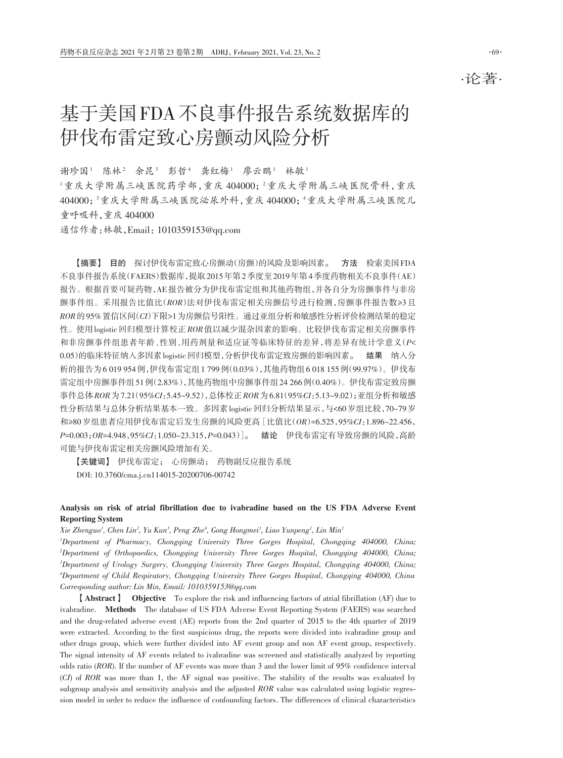·论著·

# 基于美国FDA不良事件报告系统数据库的 伊伐布雷定致心房颤动风险分析

谢珍国1 陈林2 余昆3 彭哲4 龚红梅1 廖云鹏1 林敏1 1重庆大学附属三峡医院药学部,重庆 404000; 2重庆大学附属三峡医院骨科,重庆 404000; 3重庆大学附属三峡医院泌尿外科,重庆 404000; 4重庆大学附属三峡医院儿 童呼吸科,重庆 404000

通信作者:林敏,Email:1010359153@qq.com

【摘要】 目的 探讨伊伐布雷定致心房颤动(房颤)的风险及影响因素。 方法 检索美国FDA 不良事件报告系统(FAERS)数据库,提取2015年第2季度至2019年第4季度药物相关不良事件(AE) 报告。根据首要可疑药物,AE报告被分为伊伐布雷定组和其他药物组,并各自分为房颤事件与非房 颤事件组。采用报告比值比(*ROR*)法对伊伐布雷定相关房颤信号进行检测,房颤事件报告数≥3且 *ROR*的95%置信区间(*CI*)下限>1为房颤信号阳性。通过亚组分析和敏感性分析评价检测结果的稳定 性。使用logistic回归模型计算校正*ROR*值以减少混杂因素的影响。比较伊伐布雷定相关房颤事件 和非房颤事件组患者年龄、性别、用药剂量和适应证等临床特征的差异,将差异有统计学意义(*P<* 0.05)的临床特征纳入多因素logistic回归模型,分析伊伐布雷定致房颤的影响因素。 结果 纳入分 析的报告为6 019 954例,伊伐布雷定组1 799例(0.03%),其他药物组6 018 155例(99.97%)。伊伐布 雷定组中房颤事件组51例(2.83%),其他药物组中房颤事件组24 266例(0.40%)。伊伐布雷定致房颤 事件总体*ROR*为7.21(95*%CI*:5.45~9.52),总体校正*ROR*为6.81(95*%CI*:5.13~9.02);亚组分析和敏感 性分析结果与总体分析结果基本一致。多因素logistic回归分析结果显示,与<60岁组比较,70~79岁 和≥80岁组患者应用伊伐布雷定后发生房颤的风险更高[比值比(*OR*)=6.525,95*%CI*:1.896~22.456, *P=*0.003;*OR=*4.948,95*%CI*:1.050~23.315,*P=*0.043)]。 结论 伊伐布雷定有导致房颤的风险,高龄 可能与伊伐布雷定相关房颤风险增加有关。

【关键词】 伊伐布雷定; 心房颤动; 药物副反应报告系统 DOI: 10.3760/cma.j.cn114015‑20200706‑00742

#### Analysis on risk of atrial fibrillation due to ivabradine based on the US FDA Adverse Event Reporting System

*Xie Zhenguo1 , Chen Lin2 , Yu Kun3 , Peng Zhe4 , Gong Hongmei1 , Liao Yunpeng1 , Lin Min1*

 *Department of Pharmacy, Chongqing University Three Gorges Hospital, Chongqing 404000, China; Department of Orthopaedics, Chongqing University Three Gorges Hospital, Chongqing 404000, China; Department of Urology Surgery, Chongqing University Three Gorges Hospital, Chongqing 404000, China; Department of Child Respiratory, Chongqing University Three Gorges Hospital, Chongqing 404000, China Corresponding author: Lin Min, Email: 1010359153@qq.com*

【Abstract】 Objective To explore the risk and influencing factors of atrial fibrillation (AF) due to ivabradine. Methods The database of US FDA Adverse Event Reporting System (FAERS) was searched and the drug‑related adverse event (AE) reports from the 2nd quarter of 2015 to the 4th quarter of 2019 were extracted. According to the first suspicious drug, the reports were divided into ivabradine group and other drugs group, which were further divided into AF event group and non AF event group, respectively. The signal intensity of AF events related to ivabradine was screened and statistically analyzed by reporting odds ratio (*ROR*). If the number of AF events was more than 3 and the lower limit of 95% confidence interval (*CI*) of *ROR* was more than 1, the AF signal was positive. The stability of the results was evaluated by subgroup analysis and sensitivity analysis and the adjusted *ROR* value was calculated using logistic regression model in order to reduce the influence of confounding factors. The differences of clinical characteristics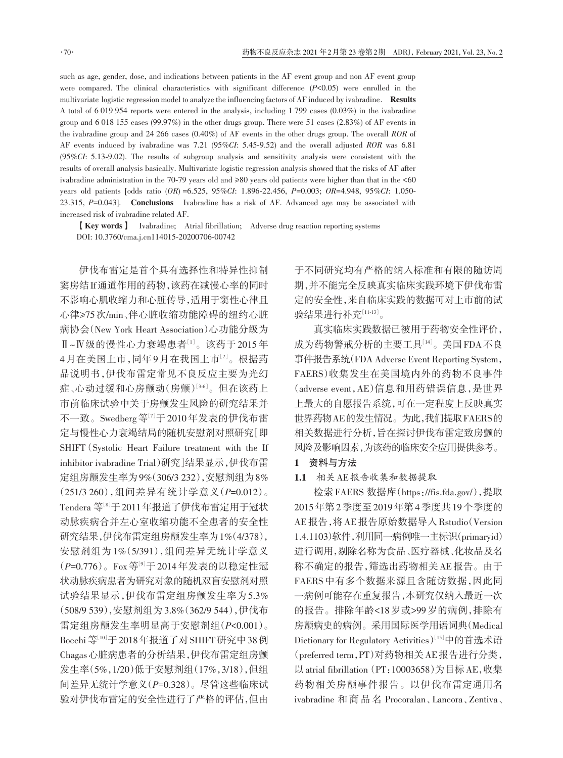such as age, gender, dose, and indications between patients in the AF event group and non AF event group were compared. The clinical characteristics with significant difference (*P<*0.05) were enrolled in the multivariate logistic regression model to analyze the influencing factors of AF induced by ivabradine. Results A total of 6 019 954 reports were entered in the analysis, including 1 799 cases (0.03%) in the ivabradine group and 6 018 155 cases (99.97%) in the other drugs group. There were 51 cases (2.83%) of AF events in the ivabradine group and 24 266 cases (0.40%) of AF events in the other drugs group. The overall *ROR* of AF events induced by ivabradine was 7.21 (95*%CI*: 5.45-9.52) and the overall adjusted *ROR* was 6.81 (95*%CI*: 5.13-9.02). The results of subgroup analysis and sensitivity analysis were consistent with the results of overall analysis basically. Multivariate logistic regression analysis showed that the risks of AF after ivabradine administration in the 70‑79 years old and ≥80 years old patients were higher than that in the <60 years old patients [odds ratio (*OR*) =6.525, 95*%CI*: 1.896-22.456, *P=*0.003; *OR=*4.948, 95*%CI*: 1.050- 23.315, *P=*0.043]. Conclusions Ivabradine has a risk of AF. Advanced age may be associated with increased risk of ivabradine related AF.

【Key words】 Ivabradine; Atrial fibrillation; Adverse drug reaction reporting systems DOI: 10.3760/cma.j.cn114015‑20200706‑00742

伊伐布雷定是首个具有选择性和特异性抑制 窦房结If通道作用的药物,该药在减慢心率的同时 不影响心肌收缩力和心脏传导,适用于窦性心律且 心律≥75次/min、伴心脏收缩功能障碍的纽约心脏 病协会(New York Heart Association)心功能分级为 Ⅱ~Ⅳ级的慢性心力衰竭患者[1]。该药于 2015 年 4月在美国上市,同年9月在我国上市<sup>[2]</sup>。根据药 品说明书,伊伐布雷定常见不良反应主要为光幻 症、心动过缓和心房颤动(房颤)[3•6]。但在该药上 市前临床试验中关于房颤发生风险的研究结果并 不一致。Swedberg 等 $^{[7]}$ 于 2010年发表的伊伐布雷 定与慢性心力衰竭结局的随机安慰剂对照研究[即 SHIFT (Systolic Heart Failure treatment with the If inhibitor ivabradine Trial)研究]结果显示,伊伐布雷 定组房颤发生率为9%(306/3 232),安慰剂组为8% (251/3 260),组间差异有统计学意义(*P=*0.012)。 Tendera 等 $^{\mathbb{S}^{[8]}}$ 于 2011年报道了伊伐布雷定用于冠状 动脉疾病合并左心室收缩功能不全患者的安全性 研究结果,伊伐布雷定组房颤发生率为1%(4/378), 安慰剂组为 1%(5/391),组间差异无统计学意义 (*P=*0.776)。Fox 等[9] 于 2014 年发表的以稳定性冠 状动脉疾病患者为研究对象的随机双盲安慰剂对照 试验结果显示,伊伐布雷定组房颤发生率为 5.3% (508/9 539),安慰剂组为3.8%(362/9 544),伊伐布 雷定组房颤发生率明显高于安慰剂组(*P<*0.001)。 Bocchi等[10] 于2018年报道了对SHIFT研究中38例 Chagas心脏病患者的分析结果,伊伐布雷定组房颤 发生率(5%,1/20)低于安慰剂组(17%,3/18),但组 间差异无统计学意义(*P=*0.328)。尽管这些临床试 验对伊伐布雷定的安全性进行了严格的评估,但由

于不同研究均有严格的纳入标准和有限的随访周 期,并不能完全反映真实临床实践环境下伊伐布雷 定的安全性,来自临床实践的数据可对上市前的试 验结果进行补充 $^{\left[11\cdot13\right]}$ 。

真实临床实践数据已被用于药物安全性评价, 成为药物警戒分析的主要工具[14] 。美国FDA不良 事件报告系统(FDA Adverse Event Reporting System, FAERS)收集发生在美国境内外的药物不良事件 (adverse event,AE)信息和用药错误信息,是世界 上最大的自愿报告系统,可在一定程度上反映真实 世界药物AE的发生情况。为此,我们提取FAERS的 相关数据进行分析,旨在探讨伊伐布雷定致房颤的 风险及影响因素,为该药的临床安全应用提供参考。

#### 1 资料与方法

#### 1.1 相关AE报告收集和数据提取

检索FAERS 数据库(https://fis.fda.gov/),提取 2015年第2季度至2019年第4季度共19个季度的 AE报告,将AE报告原始数据导入Rstudio(Version 1.4.1103)软件,利用同一病例唯一主标识(primaryid) 进行调用,剔除名称为食品、医疗器械、化妆品及名 称不确定的报告,筛选出药物相关AE报告。由于 FAERS 中有多个数据来源且含随访数据,因此同 一病例可能存在重复报告,本研究仅纳入最近一次 的报告。排除年龄<18岁或>99岁的病例,排除有 房颤病史的病例。采用国际医学用语词典(Medical Dictionary for Regulatory Activities<sup>)[15]</sup>中的首选术语 (preferred term,PT)对药物相关AE报告进行分类, 以atrial fibrillation(PT:10003658)为目标AE,收集 药物相关房颤事件报告。以伊伐布雷定通用名 ivabradine 和 商 品 名 Procoralan、Lancora、Zentiva、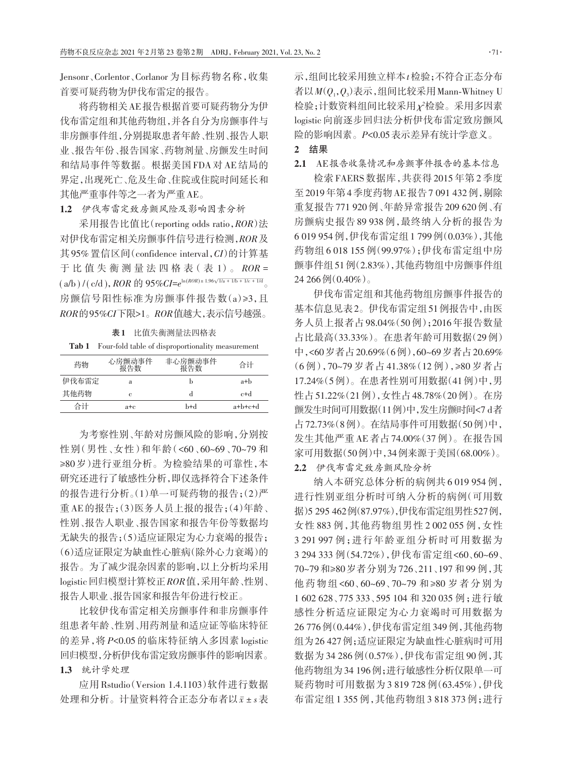Jensonr、Corlentor、Corlanor 为目标药物名称,收集 首要可疑药物为伊伐布雷定的报告。

将药物相关AE报告根据首要可疑药物分为伊 伐布雷定组和其他药物组,并各自分为房颤事件与 非房颤事件组,分别提取患者年龄、性别、报告人职 业、报告年份、报告国家、药物剂量、房颤发生时间 和结局事件等数据。根据美国 FDA 对 AE 结局的 界定,出现死亡、危及生命、住院或住院时间延长和 其他严重事件等之一者为严重AE。

1.2 伊伐布雷定致房颤风险及影响因素分析

采用报告比值比(reporting odds ratio,*ROR*)法 对伊伐布雷定相关房颤事件信号进行检测,*ROR*及 其 95% 置信区间(confidence interval,*CI*)的计算基 于 比 值 失 衡 测 量 法 四 格 表(表 1)。 *ROR* =  $(a/b) / (c/d), ROR \text{ if } 95\% CI = e^{\ln(ROR) \pm 1.96\sqrt{1/a} + 1/b + 1/c + 1/d}$ 房颤信号阳性标准为房颤事件报告数(a)≥3,且 *ROR*的95*%CI*下限>1。*ROR*值越大,表示信号越强。

表1 比值失衡测量法四格表

Tab 1 Four-fold table of disproportionality measurement

| 药物    | 心房颤动事件<br>报告数 | 非心房颤动事件<br>报告数 | 合计      |
|-------|---------------|----------------|---------|
| 伊伐布雷定 | а             |                | a+b     |
| 其他药物  | е             |                | c+d     |
| 合计    | a+c           | b+d            | a+b+c+d |

为考察性别、年龄对房颤风险的影响,分别按 性别(男性、女性)和年龄(<60、60~69、70~79 和 ≥80 岁)进行亚组分析。为检验结果的可靠性,本 研究还进行了敏感性分析,即仅选择符合下述条件 的报告进行分析。(1)单一可疑药物的报告;(2)严 重AE的报告;(3)医务人员上报的报告;(4)年龄、 性别、报告人职业、报告国家和报告年份等数据均 无缺失的报告;(5)适应证限定为心力衰竭的报告; (6)适应证限定为缺血性心脏病(除外心力衰竭)的 报告。为了减少混杂因素的影响,以上分析均采用 logistic回归模型计算校正*ROR*值,采用年龄、性别、 报告人职业、报告国家和报告年份进行校正。

比较伊伐布雷定相关房颤事件和非房颤事件 组患者年龄、性别、用药剂量和适应证等临床特征 的差异,将 *P<*0.05 的临床特征纳入多因素 logistic 回归模型,分析伊伐布雷定致房颤事件的影响因素。 1.3 统计学处理

应用 Rstudio(Version 1.4.1103)软件进行数据 处理和分析。计量资料符合正态分布者以*x*ˉ ± *s*表

示,组间比较采用独立样本*t*检验;不符合正态分布 者以*M*(*Q*1,*Q*<sup>3</sup> )表示,组间比较采用Mann‑Whitney U 检验;计数资料组间比较采用*χ²*检验。采用多因素 logistic 向前逐步回归法分析伊伐布雷定致房颤风 险的影响因素。*P<*0.05表示差异有统计学意义。

### 2 结果

2.1 AE报告收集情况和房颤事件报告的基本信息

检索 FAERS 数据库,共获得 2015 年第 2 季度 至2019年第4季度药物AE报告7 091 432例,剔除 重复报告771 920例、年龄异常报告209 620例、有 房颤病史报告 89 938 例,最终纳入分析的报告为 6 019 954例,伊伐布雷定组1 799例(0.03%),其他 药物组 6 018 155 例(99.97%);伊伐布雷定组中房 颤事件组51例(2.83%),其他药物组中房颤事件组  $24\,266\,\Im(0.40\%)$ 。

伊伐布雷定组和其他药物组房颤事件报告的 基本信息见表2。伊伐布雷定组51例报告中,由医 务人员上报者占98.04%(50例);2016年报告数量 占比最高(33.33%)。在患者年龄可用数据(29例) 中,<60岁者占20.69%(6例),60~69岁者占20.69% (6 例),70~79 岁者占 41.38%(12 例),≥80 岁者占 17.24%(5例)。在患者性别可用数据(41例)中,男 性占51.22%(21例),女性占48.78%(20例)。在房 颤发生时间可用数据(11例)中,发生房颤时间<7 d者 占72.73%(8例)。在结局事件可用数据(50例)中, 发生其他严重 AE 者占 74.00%(37 例)。在报告国 家可用数据(50例)中,34例来源于美国(68.00%)。 2.2 伊伐布雷定致房颤风险分析

纳入本研究总体分析的病例共 6 019 954 例, 进行性别亚组分析时可纳入分析的病例(可用数 据)5 295 462例(87.97%),伊伐布雷定组男性527例, 女性 883 例,其他药物组男性 2 002 055 例,女性 3 291 997 例;进行年龄亚组分析时可用数据为 3 294 333 例(54.72%),伊伐布雷定组<60、60~69、 70~79和≥80岁者分别为 726、211、197 和 99 例,其 他药物组<60、60~69、70~79 和≥80 岁者分别为 1 602 628、775 333、595 104 和 320 035 例;进行敏 感性分析适应证限定为心力衰竭时可用数据为 26 776例(0.44%),伊伐布雷定组349例,其他药物 组为26 427例;适应证限定为缺血性心脏病时可用 数据为 34 286 例(0.57%),伊伐布雷定组 90 例,其 他药物组为34 196例;进行敏感性分析仅限单一可 疑药物时可用数据为 3 819 728 例(63.45%),伊伐 布雷定组 1 355 例,其他药物组 3 818 373 例;进行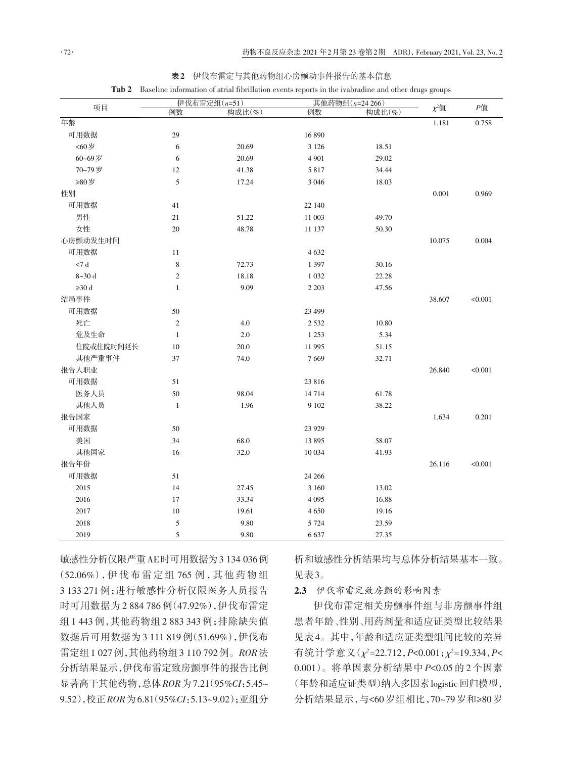|             | 伊伐布雷定组(n=51)   |        | 其他药物组(n=24 266) |        |            |         |
|-------------|----------------|--------|-----------------|--------|------------|---------|
| 项目          | 例数             | 构成比(%) | 例数              | 构成比(%) | $\chi^2$ 值 | $P$ 值   |
| 年龄          |                |        |                 |        | 1.181      | 0.758   |
| 可用数据        | 29             |        | 16 890          |        |            |         |
| <60岁        | 6              | 20.69  | 3 1 2 6         | 18.51  |            |         |
| 60~69岁      | 6              | 20.69  | 4 9 0 1         | 29.02  |            |         |
| 70~79岁      | 12             | 41.38  | 5817            | 34.44  |            |         |
| ≥80岁        | 5              | 17.24  | 3 0 4 6         | 18.03  |            |         |
| 性别          |                |        |                 |        | 0.001      | 0.969   |
| 可用数据        | 41             |        | 22 140          |        |            |         |
| 男性          | 21             | 51.22  | 11 003          | 49.70  |            |         |
| 女性          | 20             | 48.78  | 11 137          | 50.30  |            |         |
| 心房颤动发生时间    |                |        |                 |        | 10.075     | 0.004   |
| 可用数据        | 11             |        | 4632            |        |            |         |
| $<\!\!7$ d  | 8              | 72.73  | 1 3 9 7         | 30.16  |            |         |
| $8 - 30$ d  | $\mathbf{2}$   | 18.18  | 1 0 3 2         | 22.28  |            |         |
| $\geq 30$ d | $\mathbf{1}$   | 9.09   | 2 2 0 3         | 47.56  |            |         |
| 结局事件        |                |        |                 |        | 38.607     | < 0.001 |
| 可用数据        | 50             |        | 23 499          |        |            |         |
| 死亡          | $\overline{2}$ | 4.0    | 2 5 3 2         | 10.80  |            |         |
| 危及生命        | $\mathbf{1}$   | 2.0    | 1 2 5 3         | 5.34   |            |         |
| 住院或住院时间延长   | 10             | 20.0   | 11 995          | 51.15  |            |         |
| 其他严重事件      | 37             | 74.0   | 7669            | 32.71  |            |         |
| 报告人职业       |                |        |                 |        | 26.840     | < 0.001 |
| 可用数据        | 51             |        | 23 816          |        |            |         |
| 医务人员        | 50             | 98.04  | 14714           | 61.78  |            |         |
| 其他人员        | $\mathbf{1}$   | 1.96   | 9 1 0 2         | 38.22  |            |         |
| 报告国家        |                |        |                 |        | 1.634      | 0.201   |
| 可用数据        | 50             |        | 23 9 29         |        |            |         |
| 美国          | 34             | 68.0   | 13 895          | 58.07  |            |         |
| 其他国家        | 16             | 32.0   | 10 034          | 41.93  |            |         |
| 报告年份        |                |        |                 |        | 26.116     | < 0.001 |
| 可用数据        | 51             |        | 24 26 6         |        |            |         |
| 2015        | 14             | 27.45  | 3 1 6 0         | 13.02  |            |         |
| 2016        | 17             | 33.34  | 4 0 9 5         | 16.88  |            |         |
| 2017        | 10             | 19.61  | 4 6 5 0         | 19.16  |            |         |
| 2018        | 5              | 9.80   | 5 7 2 4         | 23.59  |            |         |
| 2019        | 5              | 9.80   | 6637            | 27.35  |            |         |

表2 伊伐布雷定与其他药物组心房颤动事件报告的基本信息

Tab 2 Baseline information of atrial fibrillation events reports in the ivabradine and other drugs groups

敏感性分析仅限严重AE时可用数据为3 134 036例 (52.06%),伊 伐 布 雷 定 组 765 例 ,其 他 药 物 组 3 133 271 例;进行敏感性分析仅限医务人员报告 时可用数据为 2 884 786 例(47.92%),伊伐布雷定 组 1 443 例,其他药物组 2 883 343 例;排除缺失值 数据后可用数据为 3 111 819 例(51.69%),伊伐布 雷定组1 027例,其他药物组3 110 792例。*ROR*法 分析结果显示,伊伐布雷定致房颤事件的报告比例 显著高于其他药物,总体*ROR*为7.21(95*%CI*:5.45~ 9.52),校正*ROR*为6.81(95*%CI*:5.13~9.02);亚组分

析和敏感性分析结果均与总体分析结果基本一致。 见表3。

2.3 伊伐布雷定致房颤的影响因素

伊伐布雷定相关房颤事件组与非房颤事件组 患者年龄、性别、用药剂量和适应证类型比较结果 见表4。其中,年龄和适应证类型组间比较的差异 有统计学意义(*χ²*=22.712,*P<*0.001;*χ²*=19.334,*P<* 0.001)。将单因素分析结果中 *P<*0.05 的 2 个因素 (年龄和适应证类型)纳入多因素logistic回归模型, 分析结果显示,与<60岁组相比,70~79岁和≥80岁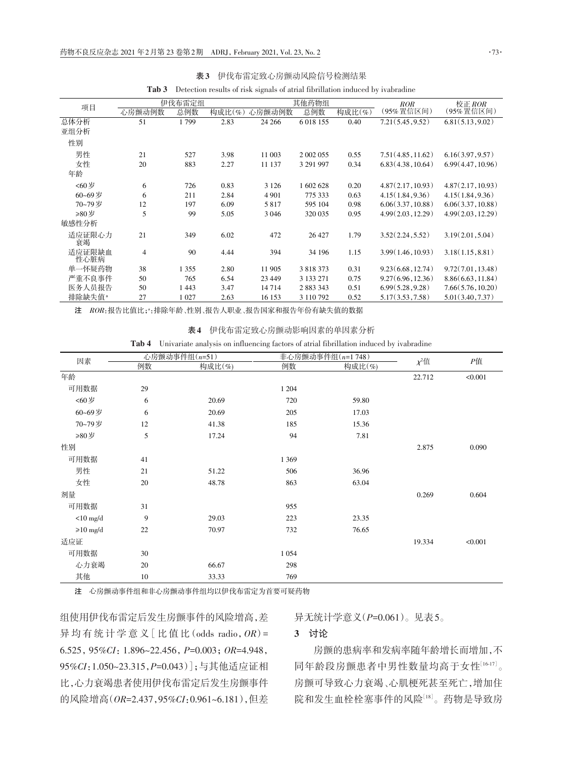| 项目                 | 伊伐布雷定组         |         |        | 其他药物组   |               |        | <b>ROR</b>        | 校正 ROR            |  |
|--------------------|----------------|---------|--------|---------|---------------|--------|-------------------|-------------------|--|
|                    | 心房颤动例数         | 总例数     | 构成比(%) | 心房颤动例数  | 总例数           | 构成比(%) | (95% 置信区间)        | (95% 置信区间)        |  |
| 总体分析               | 51             | 1799    | 2.83   | 24 26 6 | 6 0 18 15 5   | 0.40   | 7.21(5.45, 9.52)  | 6.81(5.13, 9.02)  |  |
| 亚组分析               |                |         |        |         |               |        |                   |                   |  |
| 性别                 |                |         |        |         |               |        |                   |                   |  |
| 男性                 | 21             | 527     | 3.98   | 11 003  | 2 002 055     | 0.55   | 7.51(4.85, 11.62) | 6.16(3.97, 9.57)  |  |
| 女性                 | 20             | 883     | 2.27   | 11 137  | 3 291 997     | 0.34   | 6.83(4.38, 10.64) | 6.99(4.47, 10.96) |  |
| 年龄                 |                |         |        |         |               |        |                   |                   |  |
| <60岁               | 6              | 726     | 0.83   | 3 1 2 6 | 1 602 628     | 0.20   | 4.87(2.17, 10.93) | 4.87(2.17, 10.93) |  |
| 60~69岁             | 6              | 211     | 2.84   | 4 9 0 1 | 775 333       | 0.63   | 4.15(1.84, 9.36)  | 4.15(1.84, 9.36)  |  |
| 70~79岁             | 12             | 197     | 6.09   | 5817    | 595 104       | 0.98   | 6.06(3.37, 10.88) | 6.06(3.37, 10.88) |  |
| ≥80岁               | 5              | 99      | 5.05   | 3 0 4 6 | 320 035       | 0.95   | 4.99(2.03, 12.29) | 4.99(2.03, 12.29) |  |
| 敏感性分析              |                |         |        |         |               |        |                   |                   |  |
| 适应证限心力<br>衰竭       | 21             | 349     | 6.02   | 472     | 26 427        | 1.79   | 3.52(2.24, 5.52)  | 3.19(2.01, 5.04)  |  |
| 适应证限缺血<br>性心脏病     | $\overline{4}$ | 90      | 4.44   | 394     | 34 196        | 1.15   | 3.99(1.46, 10.93) | 3.18(1.15, 8.81)  |  |
| 单一怀疑药物             | 38             | 1 3 5 5 | 2.80   | 11 905  | 3 8 1 8 3 7 3 | 0.31   | 9.23(6.68, 12.74) | 9.72(7.01, 13.48) |  |
| 严重不良事件             | 50             | 765     | 6.54   | 23 4 49 | 3 133 271     | 0.75   | 9.27(6.96, 12.36) | 8.86(6.63, 11.84) |  |
| 医务人员报告             | 50             | 1 4 4 3 | 3.47   | 14714   | 2 883 343     | 0.51   | 6.99(5.28, 9.28)  | 7.66(5.76, 10.20) |  |
| 排除缺失值 <sup>。</sup> | 27             | 1 0 2 7 | 2.63   | 16 153  | 3 110 792     | 0.52   | 5.17(3.53, 7.58)  | 5.01(3.40, 7.37)  |  |
|                    |                |         |        |         |               |        |                   |                   |  |

Tab 3 Detection results of risk signals of atrial fibrillation induced by ivabradine

注 ROR:报告比值比;":排除年龄、性别、报告人职业、报告国家和报告年份有缺失值的数据

| 伊伐布雷定致心房颤动影响因素的单因素分析<br>表4 |
|----------------------------|
|----------------------------|

Tab 4 Univariate analysis on influencing factors of atrial fibrillation induced by ivabradine

| 因素             |    | 心房颤动事件组(n=51) |         | 非心房颤动事件组(n=1748) |            |         |
|----------------|----|---------------|---------|------------------|------------|---------|
|                | 例数 | 构成比(%)        | 例数      | 构成比(%)           | $\chi^2$ 值 | Р值      |
| 年龄             |    |               |         |                  | 22.712     | < 0.001 |
| 可用数据           | 29 |               | 1 2 0 4 |                  |            |         |
| <60岁           | 6  | 20.69         | 720     | 59.80            |            |         |
| 60~69岁         | 6  | 20.69         | 205     | 17.03            |            |         |
| 70~79岁         | 12 | 41.38         | 185     | 15.36            |            |         |
| ≥80岁           | 5  | 17.24         | 94      | 7.81             |            |         |
| 性别             |    |               |         |                  | 2.875      | 0.090   |
| 可用数据           | 41 |               | 1 3 6 9 |                  |            |         |
| 男性             | 21 | 51.22         | 506     | 36.96            |            |         |
| 女性             | 20 | 48.78         | 863     | 63.04            |            |         |
| 剂量             |    |               |         |                  | 0.269      | 0.604   |
| 可用数据           | 31 |               | 955     |                  |            |         |
| $<$ 10 mg/d    | 9  | 29.03         | 223     | 23.35            |            |         |
| $\geq 10$ mg/d | 22 | 70.97         | 732     | 76.65            |            |         |
| 适应证            |    |               |         |                  | 19.334     | < 0.001 |
| 可用数据           | 30 |               | 1 0 5 4 |                  |            |         |
| 心力衰竭           | 20 | 66.67         | 298     |                  |            |         |
| 其他             | 10 | 33.33         | 769     |                  |            |         |

注 心房颤动事件组和非心房颤动事件组均以伊伐布雷定为首要可疑药物

组使用伊伐布雷定后发生房颤事件的风险增高,差 异 均 有 统 计 学 意 义[比 值 比(odds radio,*OR*)= 6.525,95*%CI*:1.896~22.456,*P=*0.003;*OR=*4.948, 95*%CI*:1.050~23.315,*P=*0.043)];与其他适应证相 比,心力衰竭患者使用伊伐布雷定后发生房颤事件 的风险增高(*OR=*2.437,95*%CI*:0.961~6.181),但差

异无统计学意义(*P=*0.061)。见表5。

## 3 讨论

房颤的患病率和发病率随年龄增长而增加,不 同年龄段房颤患者中男性数量均高于女性[16‑17]。 房颤可导致心力衰竭、心肌梗死甚至死亡,增加住 院和发生血栓栓塞事件的风险[18] 。药物是导致房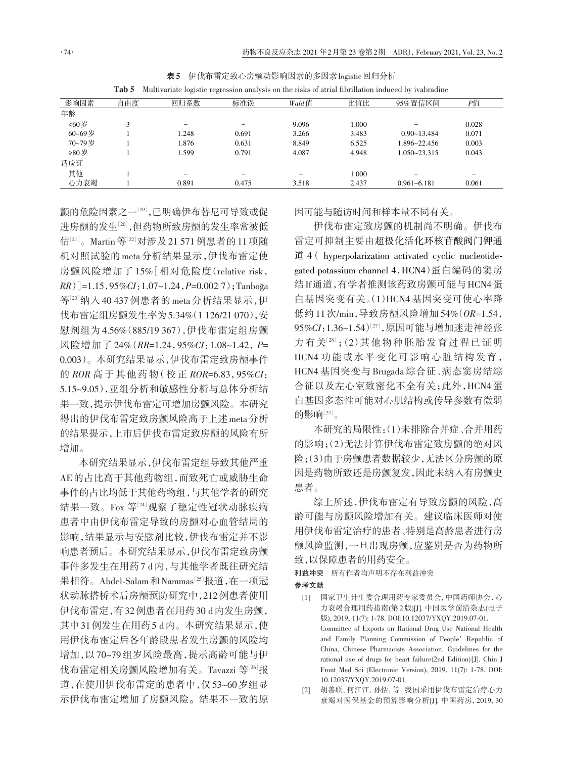|        | Tab 5 |       |       |       |       | Multivariate logistic regression analysis on the risks of atrial fibrillation induced by ivabradine |       |
|--------|-------|-------|-------|-------|-------|-----------------------------------------------------------------------------------------------------|-------|
| 影响因素   | 自由度   | 回归系数  | 标准误   | Wald值 | 比值比   | 95% 置信区间                                                                                            | Р值    |
| 年龄     |       |       |       |       |       |                                                                                                     |       |
| <60岁   |       | -     |       | 9.096 | 1.000 |                                                                                                     | 0.028 |
| 60~69岁 |       | 1.248 | 0.691 | 3.266 | 3.483 | $0.90 - 13.484$                                                                                     | 0.071 |
| 70~79岁 |       | 1.876 | 0.631 | 8.849 | 6.525 | 1.896~22.456                                                                                        | 0.003 |
| ≥80岁   |       | 1.599 | 0.791 | 4.087 | 4.948 | $1.050 - 23.315$                                                                                    | 0.043 |
| 适应证    |       |       |       |       |       |                                                                                                     |       |
| 其他     |       | -     |       | -     | 1.000 |                                                                                                     | -     |
| 心力衰竭   |       | 0.891 | 0.475 | 3.518 | 2.437 | $0.961 - 6.181$                                                                                     | 0.061 |

表5 伊伐布雷定致心房颤动影响因素的多因素logistic回归分析

颤的危险因素之一『』,已明确伊布替尼可导致或促 进房颤的发生[20] ,但药物所致房颤的发生率常被低 估[21]。Martin 等<sup>[22]</sup>对涉及21 571 例患者的 11 项随 机对照试验的 meta 分析结果显示,伊伐布雷定使 房颤风险增加了 15%[相对危险度(relative risk, *RR*)]=1.15,95*%CI*:1.07~1.24,*P=*0.002 7);Tanboğa 等[23]纳入 40 437 例患者的 meta 分析结果显示,伊 伐布雷定组房颤发生率为5.34%(1 126/21 070),安 慰剂组为 4.56%(885/19 367),伊伐布雷定组房颤 风险增加了 24%(*RR=*1.24,95*%CI*:1.08~1.42,*P=* 0.003)。本研究结果显示,伊伐布雷定致房颤事件 的 *ROR* 高于其他药物(校正 *ROR=*6.83,95*%CI*: 5.15~9.05),亚组分析和敏感性分析与总体分析结 果一致,提示伊伐布雷定可增加房颤风险。本研究 得出的伊伐布雷定致房颤风险高于上述meta分析 的结果提示,上市后伊伐布雷定致房颤的风险有所 增加。

本研究结果显示,伊伐布雷定组导致其他严重 AE的占比高于其他药物组,而致死亡或威胁生命 事件的占比均低于其他药物组,与其他学者的研究 结果一致。Fox 等[24] 观察了稳定性冠状动脉疾病 患者中由伊伐布雷定导致的房颤对心血管结局的 影响,结果显示与安慰剂比较,伊伐布雷定并不影 响患者预后。本研究结果显示,伊伐布雷定致房颤 事件多发生在用药7 d内,与其他学者既往研究结 果相符。Abdel-Salam和Nammas<sup>[25]</sup>报道,在一项冠 状动脉搭桥术后房颤预防研究中,212例患者使用 伊伐布雷定,有32例患者在用药30 d内发生房颤, 其中31例发生在用药5 d内。本研究结果显示,使 用伊伐布雷定后各年龄段患者发生房颤的风险均 增加,以 70~79 组岁风险最高,提示高龄可能与伊 伐布雷定相关房颤风险增加有关。Tavazzi 等 $^{\left[ 26\right] }$ 报 道,在使用伊伐布雷定的患者中,仅 53~60 岁组显 示伊伐布雷定增加了房颤风险。结果不一致的原

因可能与随访时间和样本量不同有关。

伊伐布雷定致房颤的机制尚不明确。伊伐布 雷定可抑制主要由超极化活化环核苷酸阀门钾通 道 4( hyperpolarization activated cyclic nucleotidegated potassium channel 4,HCN4)蛋白编码的窦房 结If通道,有学者推测该药致房颤可能与HCN4蛋 白基因突变有关。(1)HCN4 基因突变可使心率降 低约11次/min,导致房颤风险增加54%(*OR=*1.54, 95%CI:1.36~1.54)<sup>[27]</sup>,原因可能与增加迷走神经张 力有关[28];(2)其他物种胚胎发育过程已证明 HCN4 功能或水平变化可影响心脏结构发育, HCN4 基因突变与 Brugada 综合征、病态窦房结综 合征以及左心室致密化不全有关;此外,HCN4 蛋 白基因多态性可能对心肌结构或传导参数有微弱 的影响 $^{[27]}$ 。

本研究的局限性:(1)未排除合并症、合并用药 的影响;(2)无法计算伊伐布雷定致房颤的绝对风 险;(3)由于房颤患者数据较少,无法区分房颤的原 因是药物所致还是房颤复发,因此未纳入有房颤史 患者。

综上所述,伊伐布雷定有导致房颤的风险,高 龄可能与房颤风险增加有关。建议临床医师对使 用伊伐布雷定治疗的患者、特别是高龄患者进行房 颤风险监测,一旦出现房颤,应鉴别是否为药物所 致,以保障患者的用药安全。

利益冲突 所有作者均声明不存在利益冲突 参考文献

- [1] 国家卫生计生委合理用药专家委员会, 中国药师协会. 心 力衰竭合理用药指南(第2版)[J]. 中国医学前沿杂志(电子 版), 2019, 11(7): 1‑78. DOI:10.12037/YXQY.2019.07-01. Committee of Exports on Rational Drug Use National Health and Family Planning Commission of People′ Republic of China, Chinese Pharmacists Association. Guidelines for the rational use of drugs for heart failure(2nd Edition)[J]. Chin J Front Med Sci (Electronic Version), 2019, 11(7): 1‑78. DOI: 10.12037/YXQY.2019.07-01.
- [2] 胡善联, 何江江, 孙恬, 等. 我国采用伊伐布雷定治疗心力 衰竭对医保基金的预算影响分析[J]. 中国药房, 2019, 30